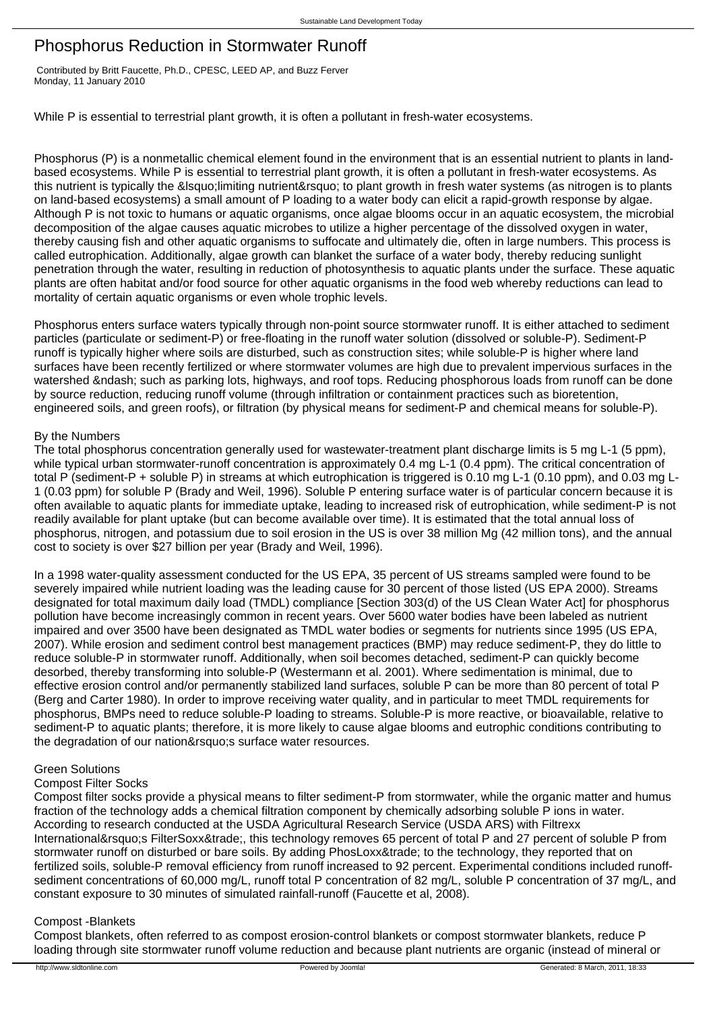# Phosphorus Reduction in Stormwater Runoff

 Contributed by Britt Faucette, Ph.D., CPESC, LEED AP, and Buzz Ferver Monday, 11 January 2010

While P is essential to terrestrial plant growth, it is often a pollutant in fresh-water ecosystems.

Phosphorus (P) is a nonmetallic chemical element found in the environment that is an essential nutrient to plants in landbased ecosystems. While P is essential to terrestrial plant growth, it is often a pollutant in fresh-water ecosystems. As this nutrient is typically the & lsquo: limiting nutrient&rsquo: to plant growth in fresh water systems (as nitrogen is to plants on land-based ecosystems) a small amount of P loading to a water body can elicit a rapid-growth response by algae. Although P is not toxic to humans or aquatic organisms, once algae blooms occur in an aquatic ecosystem, the microbial decomposition of the algae causes aquatic microbes to utilize a higher percentage of the dissolved oxygen in water, thereby causing fish and other aquatic organisms to suffocate and ultimately die, often in large numbers. This process is called eutrophication. Additionally, algae growth can blanket the surface of a water body, thereby reducing sunlight penetration through the water, resulting in reduction of photosynthesis to aquatic plants under the surface. These aquatic plants are often habitat and/or food source for other aquatic organisms in the food web whereby reductions can lead to mortality of certain aquatic organisms or even whole trophic levels.

Phosphorus enters surface waters typically through non-point source stormwater runoff. It is either attached to sediment particles (particulate or sediment-P) or free-floating in the runoff water solution (dissolved or soluble-P). Sediment-P runoff is typically higher where soils are disturbed, such as construction sites; while soluble-P is higher where land surfaces have been recently fertilized or where stormwater volumes are high due to prevalent impervious surfaces in the watershed &ndash: such as parking lots, highways, and roof tops. Reducing phosphorous loads from runoff can be done by source reduction, reducing runoff volume (through infiltration or containment practices such as bioretention, engineered soils, and green roofs), or filtration (by physical means for sediment-P and chemical means for soluble-P).

# By the Numbers

The total phosphorus concentration generally used for wastewater-treatment plant discharge limits is 5 mg L-1 (5 ppm), while typical urban stormwater-runoff concentration is approximately 0.4 mg L-1 (0.4 ppm). The critical concentration of total P (sediment-P + soluble P) in streams at which eutrophication is triggered is 0.10 mg L-1 (0.10 ppm), and 0.03 mg L-1 (0.03 ppm) for soluble P (Brady and Weil, 1996). Soluble P entering surface water is of particular concern because it is often available to aquatic plants for immediate uptake, leading to increased risk of eutrophication, while sediment-P is not readily available for plant uptake (but can become available over time). It is estimated that the total annual loss of phosphorus, nitrogen, and potassium due to soil erosion in the US is over 38 million Mg (42 million tons), and the annual cost to society is over \$27 billion per year (Brady and Weil, 1996).

In a 1998 water-quality assessment conducted for the US EPA, 35 percent of US streams sampled were found to be severely impaired while nutrient loading was the leading cause for 30 percent of those listed (US EPA 2000). Streams designated for total maximum daily load (TMDL) compliance [Section 303(d) of the US Clean Water Act] for phosphorus pollution have become increasingly common in recent years. Over 5600 water bodies have been labeled as nutrient impaired and over 3500 have been designated as TMDL water bodies or segments for nutrients since 1995 (US EPA, 2007). While erosion and sediment control best management practices (BMP) may reduce sediment-P, they do little to reduce soluble-P in stormwater runoff. Additionally, when soil becomes detached, sediment-P can quickly become desorbed, thereby transforming into soluble-P (Westermann et al. 2001). Where sedimentation is minimal, due to effective erosion control and/or permanently stabilized land surfaces, soluble P can be more than 80 percent of total P (Berg and Carter 1980). In order to improve receiving water quality, and in particular to meet TMDL requirements for phosphorus, BMPs need to reduce soluble-P loading to streams. Soluble-P is more reactive, or bioavailable, relative to sediment-P to aquatic plants; therefore, it is more likely to cause algae blooms and eutrophic conditions contributing to the degradation of our nation' s surface water resources.

# Green Solutions

# Compost Filter Socks

Compost filter socks provide a physical means to filter sediment-P from stormwater, while the organic matter and humus fraction of the technology adds a chemical filtration component by chemically adsorbing soluble P ions in water. According to research conducted at the USDA Agricultural Research Service (USDA ARS) with Filtrexx International' SFilterSoxx™, this technology removes 65 percent of total P and 27 percent of soluble P from stormwater runoff on disturbed or bare soils. By adding PhosLoxx™ to the technology, they reported that on fertilized soils, soluble-P removal efficiency from runoff increased to 92 percent. Experimental conditions included runoffsediment concentrations of 60,000 mg/L, runoff total P concentration of 82 mg/L, soluble P concentration of 37 mg/L, and constant exposure to 30 minutes of simulated rainfall-runoff (Faucette et al, 2008).

#### Compost -Blankets

Compost blankets, often referred to as compost erosion-control blankets or compost stormwater blankets, reduce P loading through site stormwater runoff volume reduction and because plant nutrients are organic (instead of mineral or